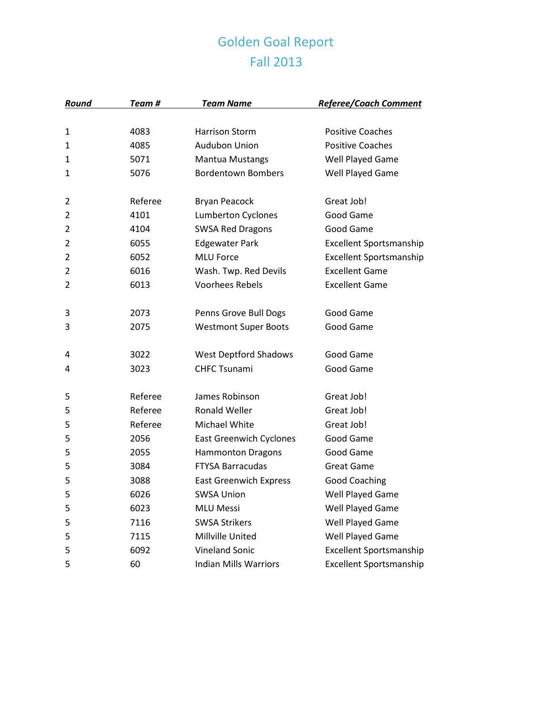## Golden Goal Report Fall 2013

| Round | Team #  | <b>Team Name</b>               | <b>Referee/Coach Comment</b>   |
|-------|---------|--------------------------------|--------------------------------|
|       |         |                                |                                |
| 1     | 4083    | <b>Harrison Storm</b>          | <b>Positive Coaches</b>        |
| 1     | 4085    | <b>Audubon Union</b>           | <b>Positive Coaches</b>        |
| 1     | 5071    | <b>Mantua Mustangs</b>         | Well Played Game               |
| 1     | 5076    | <b>Bordentown Bombers</b>      | Well Played Game               |
| 2     | Referee | <b>Bryan Peacock</b>           | Great Job!                     |
| 2     | 4101    | Lumberton Cyclones             | Good Game                      |
| 2     | 4104    | <b>SWSA Red Dragons</b>        | Good Game                      |
| 2     | 6055    | <b>Edgewater Park</b>          | Excellent Sportsmanship        |
| 2     | 6052    | <b>MLU Force</b>               | <b>Excellent Sportsmanship</b> |
| 2     | 6016    | Wash. Twp. Red Devils          | <b>Excellent Game</b>          |
| 2     | 6013    | <b>Voorhees Rebels</b>         | <b>Excellent Game</b>          |
| 3     | 2073    | Penns Grove Bull Dogs          | Good Game                      |
| 3     | 2075    | <b>Westmont Super Boots</b>    | Good Game                      |
| 4     | 3022    | <b>West Deptford Shadows</b>   | Good Game                      |
| 4     | 3023    | <b>CHFC Tsunami</b>            | Good Game                      |
| 5     | Referee | James Robinson                 | Great Job!                     |
| 5     | Referee | <b>Ronald Weller</b>           | Great Job!                     |
| 5     | Referee | Michael White                  | Great Job!                     |
| 5     | 2056    | <b>East Greenwich Cyclones</b> | Good Game                      |
| 5     | 2055    | <b>Hammonton Dragons</b>       | Good Game                      |
| 5     | 3084    | <b>FTYSA Barracudas</b>        | <b>Great Game</b>              |
| 5     | 3088    | <b>East Greenwich Express</b>  | <b>Good Coaching</b>           |
| 5     | 6026    | <b>SWSA Union</b>              | Well Played Game               |
| 5     | 6023    | <b>MLU Messi</b>               | Well Played Game               |
| 5     | 7116    | <b>SWSA Strikers</b>           | Well Played Game               |
| 5     | 7115    | Millville United               | Well Played Game               |
| 5     | 6092    | <b>Vineland Sonic</b>          | <b>Excellent Sportsmanship</b> |
| 5     | 60      | <b>Indian Mills Warriors</b>   | <b>Excellent Sportsmanship</b> |